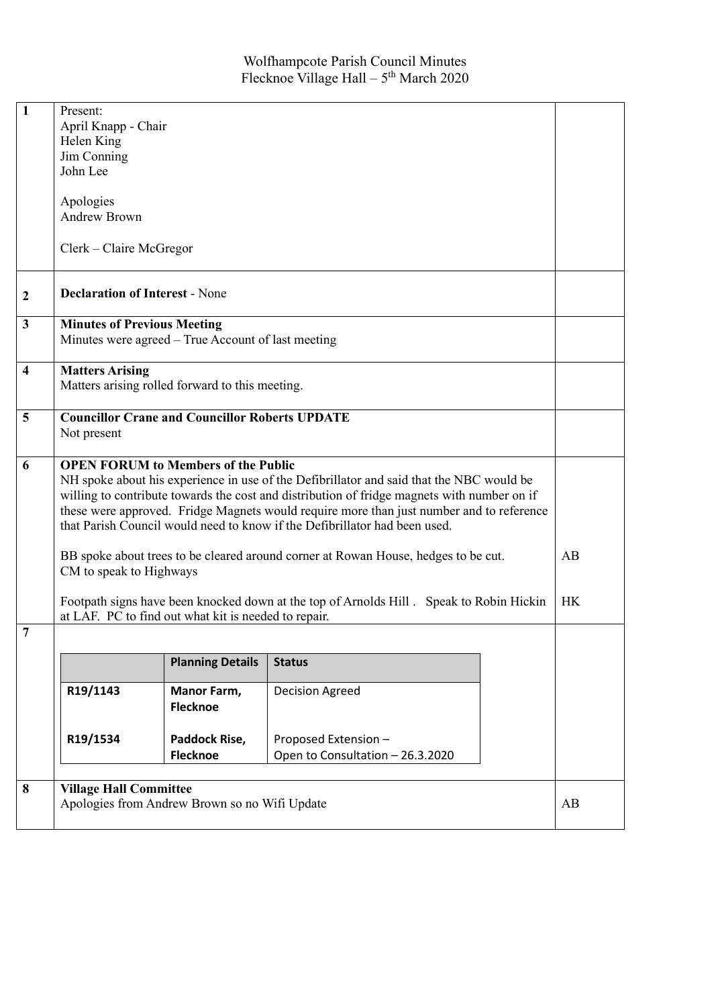| $\mathbf{1}$            | Present:                                                                                    |                                                       |                                  |  |  |  |
|-------------------------|---------------------------------------------------------------------------------------------|-------------------------------------------------------|----------------------------------|--|--|--|
|                         | April Knapp - Chair                                                                         |                                                       |                                  |  |  |  |
|                         | Helen King                                                                                  |                                                       |                                  |  |  |  |
|                         | Jim Conning                                                                                 |                                                       |                                  |  |  |  |
|                         | John Lee                                                                                    |                                                       |                                  |  |  |  |
|                         |                                                                                             |                                                       |                                  |  |  |  |
|                         | Apologies                                                                                   |                                                       |                                  |  |  |  |
|                         | <b>Andrew Brown</b>                                                                         |                                                       |                                  |  |  |  |
|                         |                                                                                             |                                                       |                                  |  |  |  |
|                         | Clerk - Claire McGregor                                                                     |                                                       |                                  |  |  |  |
|                         |                                                                                             |                                                       |                                  |  |  |  |
|                         |                                                                                             |                                                       |                                  |  |  |  |
| $\boldsymbol{2}$        | <b>Declaration of Interest - None</b>                                                       |                                                       |                                  |  |  |  |
| $\mathbf{3}$            |                                                                                             |                                                       |                                  |  |  |  |
|                         | <b>Minutes of Previous Meeting</b><br>Minutes were agreed - True Account of last meeting    |                                                       |                                  |  |  |  |
|                         |                                                                                             |                                                       |                                  |  |  |  |
| $\overline{\mathbf{4}}$ | <b>Matters Arising</b>                                                                      |                                                       |                                  |  |  |  |
|                         |                                                                                             | Matters arising rolled forward to this meeting.       |                                  |  |  |  |
|                         |                                                                                             |                                                       |                                  |  |  |  |
| 5                       |                                                                                             | <b>Councillor Crane and Councillor Roberts UPDATE</b> |                                  |  |  |  |
|                         | Not present                                                                                 |                                                       |                                  |  |  |  |
|                         |                                                                                             |                                                       |                                  |  |  |  |
| 6                       | <b>OPEN FORUM to Members of the Public</b>                                                  |                                                       |                                  |  |  |  |
|                         | NH spoke about his experience in use of the Defibrillator and said that the NBC would be    |                                                       |                                  |  |  |  |
|                         | willing to contribute towards the cost and distribution of fridge magnets with number on if |                                                       |                                  |  |  |  |
|                         | these were approved. Fridge Magnets would require more than just number and to reference    |                                                       |                                  |  |  |  |
|                         | that Parish Council would need to know if the Defibrillator had been used.                  |                                                       |                                  |  |  |  |
|                         |                                                                                             |                                                       |                                  |  |  |  |
|                         | BB spoke about trees to be cleared around corner at Rowan House, hedges to be cut.<br>AB    |                                                       |                                  |  |  |  |
|                         | CM to speak to Highways                                                                     |                                                       |                                  |  |  |  |
|                         | Footpath signs have been knocked down at the top of Arnolds Hill . Speak to Robin Hickin    |                                                       |                                  |  |  |  |
|                         | <b>HK</b><br>at LAF. PC to find out what kit is needed to repair.                           |                                                       |                                  |  |  |  |
| 7                       |                                                                                             |                                                       |                                  |  |  |  |
|                         |                                                                                             |                                                       |                                  |  |  |  |
|                         |                                                                                             | <b>Planning Details</b>                               | <b>Status</b>                    |  |  |  |
|                         | R19/1143                                                                                    | Manor Farm,                                           | Decision Agreed                  |  |  |  |
|                         |                                                                                             | <b>Flecknoe</b>                                       |                                  |  |  |  |
|                         |                                                                                             |                                                       |                                  |  |  |  |
|                         | R19/1534                                                                                    | Paddock Rise,                                         | Proposed Extension -             |  |  |  |
|                         |                                                                                             | <b>Flecknoe</b>                                       | Open to Consultation - 26.3.2020 |  |  |  |
|                         |                                                                                             |                                                       |                                  |  |  |  |
| 8                       | <b>Village Hall Committee</b>                                                               |                                                       |                                  |  |  |  |
|                         | Apologies from Andrew Brown so no Wifi Update<br>AB                                         |                                                       |                                  |  |  |  |
|                         |                                                                                             |                                                       |                                  |  |  |  |
|                         |                                                                                             |                                                       |                                  |  |  |  |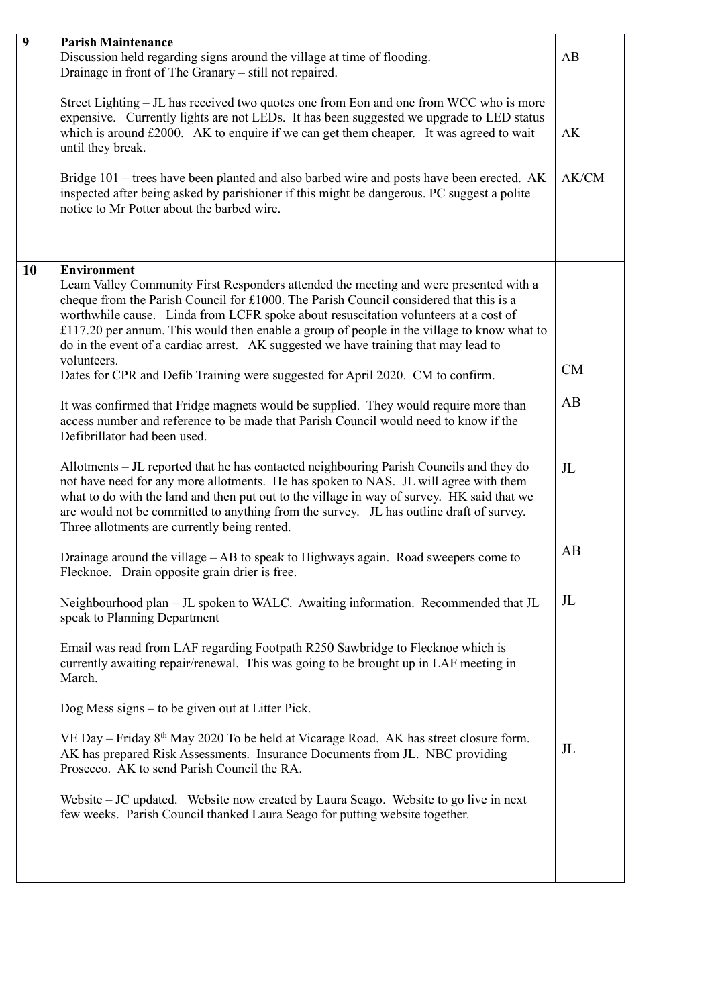| $\overline{9}$ | <b>Parish Maintenance</b>                                                                                                                                                                                                                                                                                                                                                                                                                                                                                                                                                                                                                                                                                                                                                                                                                                                                                                                                                                                                                                                                                                                                                                                                                                                                                                                                                                                                                                                                                                                                                                                                                                                                                                                                                                                                                                                                                                                                                                                                                                                                                                                        |                                  |  |  |  |
|----------------|--------------------------------------------------------------------------------------------------------------------------------------------------------------------------------------------------------------------------------------------------------------------------------------------------------------------------------------------------------------------------------------------------------------------------------------------------------------------------------------------------------------------------------------------------------------------------------------------------------------------------------------------------------------------------------------------------------------------------------------------------------------------------------------------------------------------------------------------------------------------------------------------------------------------------------------------------------------------------------------------------------------------------------------------------------------------------------------------------------------------------------------------------------------------------------------------------------------------------------------------------------------------------------------------------------------------------------------------------------------------------------------------------------------------------------------------------------------------------------------------------------------------------------------------------------------------------------------------------------------------------------------------------------------------------------------------------------------------------------------------------------------------------------------------------------------------------------------------------------------------------------------------------------------------------------------------------------------------------------------------------------------------------------------------------------------------------------------------------------------------------------------------------|----------------------------------|--|--|--|
|                | Discussion held regarding signs around the village at time of flooding.<br>Drainage in front of The Granary – still not repaired.                                                                                                                                                                                                                                                                                                                                                                                                                                                                                                                                                                                                                                                                                                                                                                                                                                                                                                                                                                                                                                                                                                                                                                                                                                                                                                                                                                                                                                                                                                                                                                                                                                                                                                                                                                                                                                                                                                                                                                                                                |                                  |  |  |  |
|                | Street Lighting - JL has received two quotes one from Eon and one from WCC who is more<br>expensive. Currently lights are not LEDs. It has been suggested we upgrade to LED status<br>which is around $£2000$ . AK to enquire if we can get them cheaper. It was agreed to wait<br>until they break.                                                                                                                                                                                                                                                                                                                                                                                                                                                                                                                                                                                                                                                                                                                                                                                                                                                                                                                                                                                                                                                                                                                                                                                                                                                                                                                                                                                                                                                                                                                                                                                                                                                                                                                                                                                                                                             | AK                               |  |  |  |
|                | Bridge 101 – trees have been planted and also barbed wire and posts have been erected. AK<br>inspected after being asked by parishioner if this might be dangerous. PC suggest a polite<br>notice to Mr Potter about the barbed wire.                                                                                                                                                                                                                                                                                                                                                                                                                                                                                                                                                                                                                                                                                                                                                                                                                                                                                                                                                                                                                                                                                                                                                                                                                                                                                                                                                                                                                                                                                                                                                                                                                                                                                                                                                                                                                                                                                                            | AK/CM                            |  |  |  |
| <b>10</b>      | <b>Environment</b><br>Leam Valley Community First Responders attended the meeting and were presented with a<br>cheque from the Parish Council for £1000. The Parish Council considered that this is a<br>worthwhile cause. Linda from LCFR spoke about resuscitation volunteers at a cost of<br>£117.20 per annum. This would then enable a group of people in the village to know what to<br>do in the event of a cardiac arrest. AK suggested we have training that may lead to<br>volunteers.<br>Dates for CPR and Defib Training were suggested for April 2020. CM to confirm.<br>It was confirmed that Fridge magnets would be supplied. They would require more than<br>access number and reference to be made that Parish Council would need to know if the<br>Defibrillator had been used.<br>Allotments – JL reported that he has contacted neighbouring Parish Councils and they do<br>not have need for any more allotments. He has spoken to NAS. JL will agree with them<br>what to do with the land and then put out to the village in way of survey. HK said that we<br>are would not be committed to anything from the survey. JL has outline draft of survey.<br>Three allotments are currently being rented.<br>Drainage around the village $-AB$ to speak to Highways again. Road sweepers come to<br>Flecknoe. Drain opposite grain drier is free.<br>Neighbourhood plan - JL spoken to WALC. Awaiting information. Recommended that JL<br>speak to Planning Department<br>Email was read from LAF regarding Footpath R250 Sawbridge to Flecknoe which is<br>currently awaiting repair/renewal. This was going to be brought up in LAF meeting in<br>March.<br>Dog Mess signs $-$ to be given out at Litter Pick.<br>VE Day – Friday 8 <sup>th</sup> May 2020 To be held at Vicarage Road. AK has street closure form.<br>AK has prepared Risk Assessments. Insurance Documents from JL. NBC providing<br>Prosecco. AK to send Parish Council the RA.<br>Website - JC updated. Website now created by Laura Seago. Website to go live in next<br>few weeks. Parish Council thanked Laura Seago for putting website together. | CM<br>AB<br>JL<br>AB<br>JL<br>JL |  |  |  |
|                |                                                                                                                                                                                                                                                                                                                                                                                                                                                                                                                                                                                                                                                                                                                                                                                                                                                                                                                                                                                                                                                                                                                                                                                                                                                                                                                                                                                                                                                                                                                                                                                                                                                                                                                                                                                                                                                                                                                                                                                                                                                                                                                                                  |                                  |  |  |  |